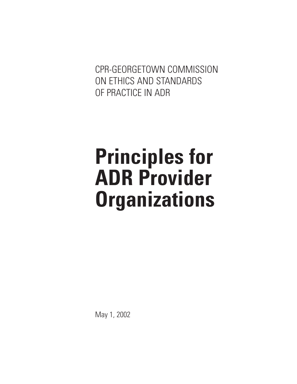CPR-GEORGETOWN COMMISSION ON ETHICS AND STANDARDS OF PRACTICE IN ADR

# **Principles for ADR Provider Organizations**

May 1, 2002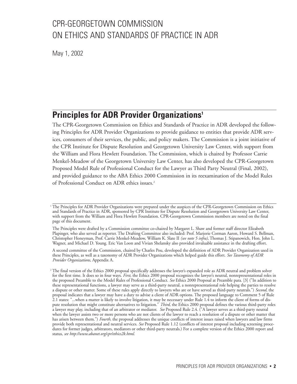# CPR-GEORGETOWN COMMISSION ON ETHICS AND STANDARDS OF PRACTICE IN ADR

May 1, 2002

# **Principles for ADR Provider Organizations1**

The CPR-Georgetown Commission on Ethics and Standards of Practice in ADR developed the following Principles for ADR Provider Organizations to provide guidance to entities that provide ADR services, consumers of their services, the public, and policy makers. The Commission is a joint initiative of the CPR Institute for Dispute Resolution and Georgetown University Law Center, with support from the William and Flora Hewlett Foundation. The Commission, which is chaired by Professor Carrie Menkel-Meadow of the Georgetown University Law Center, has also developed the CPR-Georgetown Proposed Model Rule of Professional Conduct for the Lawyer as Third Party Neutral (Final, 2002), and provided guidance to the ABA Ethics 2000 Commission in its reexamination of the Model Rules of Professional Conduct on ADR ethics issues.2

<sup>1</sup> The Principles for ADR Provider Organizations were prepared under the auspices of the CPR-Georgetown Commission on Ethics and Standards of Practice in ADR, sponsored by CPR Institute for Dispute Resolution and Georgetown University Law Center, with support from the William and Flora Hewlett Foundation. CPR-Georgetown Commission members are noted on the final page of this document.

The Principles were drafted by a Commission committee co-chaired by Margaret L. Shaw and former staff director Elizabeth Plapinger, who also served as reporter. The Drafting Committee also included: Prof. Marjorie Corman Aaron, Howard S. Bellman, Christopher Honeyman, Prof. Carrie Menkel-Meadow, William K. Slate II *(see note 5 infra)*, Thomas J. Stipanowich, Hon. John L. Wagner, and Michael D. Young. Eric Van Loon and Vivian Shelansky also provided invaluable assistance in the drafting effort.

A second committee of the Commission, chaired by Charles Pou, developed the definition of ADR Provider Organization used in these Principles, as well as a taxonomy of ADR Provider Organizations which helped guide this effort. *See Taxonomy of ADR Provider Organizations,* Appendix A.

<sup>&</sup>lt;sup>2</sup> The final version of the Ethics 2000 proposal specifically addresses the lawyer's expanded role as ADR neutral and problem solver for the first time. It does so in four ways. *First,* the Ethics 2000 proposal recognizes the lawyer's neutral, nonrepresentational roles in the proposed Preamble to the Model Rules of Professional Conduct. *See* Ethics 2000 Proposal at Preamble para. [3] ("In addition to these representational functions, a lawyer may serve as a third-party neutral, a nonrepresentational role helping the parties to resolve a dispute or other matter. Some of these rules apply directly to lawyers who are or have served as third-party neutrals.") *Second,* the proposal indicates that a lawyer may have a duty to advise a client of ADR options. The proposed language to Comment 5 of Rule 2.1 states: "...when a matter is likely to involve litigation, it may be necessary under Rule 1.4 to inform the client of forms of dispute resolution that might constitute alternatives to litigation." *Third,* the Ethics 2000 proposal defines the various third-party roles a lawyer may play, including that of an arbitrator or mediator. *See* Proposed Rule 2.4. ("A lawyer serves as a third-party neutral when the lawyer assists two or more persons who are not clients of the lawyer to reach a resolution of a dispute or other matter that has arisen between them.") *Fourth,* the proposal addresses the unique conflicts of interest issues raised when lawyers and law firms provide both representational and neutral services. *See* Proposed Rule 1.12 (conflicts of interest proposal including screening procedures for former judges, arbitrators, mediators or other third-party neutrals.) For a complete version of the Ethics 2000 report and status, *see http://www.abanet.org/cpr/ethics2k.html.*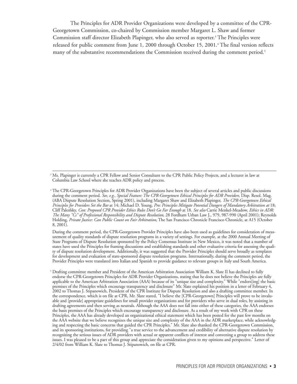The Principles for ADR Provider Organizations were developed by a committee of the CPR-Georgetown Commission, co-chaired by Commission member Margaret L. Shaw and former Commission staff director Elizabeth Plapinger, who also served as reporter.<sup>3</sup> The Principles were released for public comment from June 1, 2000 through October 15, 2001.<sup>4</sup> The final version reflects many of the substantive recommendations the Commission received during the comment period.<sup>5</sup>

<sup>3</sup> Ms. Plapinger is currently a CPR Fellow and Senior Consultant to the CPR Public Policy Projects, and a lecturer in law at Columbia Law School where she teaches ADR policy and process.

<sup>4</sup> The CPR-Georgetown Principles for ADR Provider Organizations have been the subject of several articles and public discussions during the comment period. *See, e.g., Special Feature: The CPR-Georgetown Ethical Principles for ADR Providers,* Disp. Resol. Mag. (ABA Dispute Resolution Section, Spring 2001), including Margaret Shaw and Elizabeth Plapinger, *The CPR-Georgetown Ethical Principles for Providers Set the Bar* at 14; Michael D. Young, *Pro: Principles Mitigate Potential Dangers of Mandatory Arbitration at* 18; Cliff Palesfsky, *Con: Proposed CPR Provider Ethics Rules Don't Go Far Enough* at 18. *See also* Carrie Menkel-Meadow, *Ethics in ADR: The Many "Cs" of Professional Responsibility and Dispute Resolution,* 28 Fordham Urban Law J., 979, 987-990 (April 2001); Reynolds Holding, *Private Justice: Can Public Count on Fair Arbitration,* The San Francisco Chronicle Francisco Chronicle, at A15 (October 8, 2001).

During the comment period, the CPR-Georgetown Provider Principles have also been used as guidelines for consideration of measurement of quality standards of dispute resolution programs in a variety of settings. For example, at the 2000 Annual Meeting of State Programs of Dispute Resolution sponsored by the Policy Consensus Institute in New Mexico, it was noted that a number of states have used the Principles for framing discussions and establishing standards and other evaluative criteria for assessing the quality of dispute resolution development. Additionally, it was suggested that the Provider Principles should serve broadly as templates for development and evaluation of state-sponsored dispute resolution programs. Internationally, during the comment period, the Provider Principles were translated into Italian and Spanish to provide guidance to relevant groups in Italy and South America.

<sup>5</sup> Drafting committee member and President of the American Arbitration Association William K. Slate II has declined to fully endorse the CPR-Georgetown Principles for ADR Provider Organizations, stating that he does not believe the Principles are fully applicable to the American Arbitration Association (AAA) because of its "unique size and complexity." While "endors[ing] the basic premises of the Principles which encourage transparency and disclosure" Mr. Slate explained his position in a letter of February 4, 2002 to Thomas J. Stipanowich, President of the CPR Institute for Dispute Resolution and also a drafting committee member. In the correspondence, which is on file at CPR, Mr. Slate stated, "I believe the [CPR-Georgetown] Principles will prove to be invaluable and [provide] appropriate guidelines for small provider organizations and for providers who serve in dual roles, by assisting in drafting agreements and then serving as neutrals. Although the AAA does not fall into either of these categories, the AAA endorses the basis premises of the Principles which encourage transparency and disclosure. As a result of my work with CPR on these Principles, the AAA has already developed an organizational ethical statement which has been posted for the past few months on the AAA website that we believe recognizes the unique size and complexity of the AAA in the ADR marketplace, while acknowledging and respecting the basic concerns that guided the CPR Principles." Mr. Slate also thanked the CPR-Georgetown Commission, and its sponsoring institutions, for providing "a true service to the advancement and credibility of alternative dispute resolution by recognizing the serious issues of ADR providers with actual or apparent conflicts of interest and convening a group to address these issues. I was pleased to be a part of this group and appreciate the consideration given to my opinions and perspective." Letter of 2/4/02 from William K. Slate to Thomas J. Stipanowich, on file at CPR.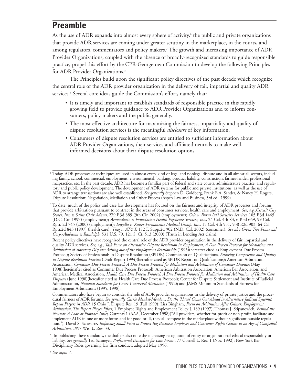# **Preamble**

As the use of ADR expands into almost every sphere of activity, $6$  the public and private organizations that provide ADR services are coming under greater scrutiny in the marketplace, in the courts, and among regulators, commentators and policy makers.7 The growth and increasing importance of ADR Provider Organizations, coupled with the absence of broadly-recognized standards to guide responsible practice, propel this effort by the CPR-Georgetown Commission to develop the following Principles for ADR Provider Organizations.<sup>8</sup>

The Principles build upon the significant policy directives of the past decade which recognize the central role of the ADR provider organization in the delivery of fair, impartial and quality ADR services.<sup>9</sup> Several core ideas guide the Commission's effort, namely that:

- It is timely and important to establish standards of responsible practice in this rapidly growing field to provide guidance to ADR Provider Organizations and to inform consumers, policy makers and the public generally.
- The most effective architecture for maximizing the fairness, impartiality and quality of dispute resolution services is the meaningful *disclosure* of key information.
- Consumers of dispute resolution services are entitled to sufficient information about ADR Provider Organizations, their services and affiliated neutrals to make wellinformed decisions about their dispute resolution options.

<sup>9</sup> *See supra 7.*

<sup>6</sup> Today, ADR processes or techniques are used in almost every kind of legal and nonlegal dispute and in all almost all sectors, including family, school, commercial, employment, environmental, banking, product liability, construction, farmer-lender, professional malpractice, etc. In the past decade, ADR has become a familiar part of federal and state courts, administrative practice, and regulatory and public policy development. The development of ADR systems for public and private institutions, as well as the use of ADR to arrange transactions are also well established. *See generally* Stephen D. Goldberg, Frank E.A. Sander, & Nancy H. Rogers, Dispute Resolution: Negotiation, Mediation and Other Process (Aspen Law and Business, 3rd ed., 1999).

<sup>7</sup> To date, much of the policy and case law development has focused on the fairness and integrity of ADR processes and forums that provide arbitration pursuant to contract in the areas of consumer services, health care and employment. *See, e.g.,Circuit City Stores, Inc. v. Saint Clair Adams,* 279 F.3d 889 (9th Cir. 2002) (employment); *Cole v. Burns Int'l Security Services,* 105 F.3d 1465 (D.C. Cir. 1997) (employment); *Armendariz v. Foundation Health Psychcare Services, Inc.,* 24 Cal. 4th 83, 6 P.3d 669, 99 Cal. Rptr. 2d 745 (2000) (employment); *Engalla v. Kaiser Permanente Medical Group, Inc.,* 15 Cal. 4th 951, 938 P.2d 903, 64 Cal. Rptr.2d 843 (1997) (health care); *Ting v. AT&T,* 182 F. Supp.2d 902 (N.D. Cal. 2002) (consumer). *See also Green Tree Financial Corp.-Alabama v. Randolph,* 531 U.S. 79, 121 S. Ct. 513 (2000) (Truth in Lending Act claim).

Recent policy directives have recognized the central role of the ADR provider organization in the delivery of fair, impartial and quality ADR services. *See, e.g., Task Force on Alternative Dispute Resolution in Employment, A Due Process Protocol for Mediation and Arbitration of Statutory Disputes Arising out of the Employment Relationship* (1995)(hereafter cited as Employment Due Process Protocol); Society of Professionals in Dispute Resolution (SPIDR) Commission on Qualifications, *Ensuring Competence and Quality in Dispute Resolution Practice* (Draft Report 1994)(hereafter cited as SPIDR Report on Qualifications); American Arbitration Association, *Consumer Due Process Protocol: A Due Process Protocol for Mediation and Arbitration of Consumer Disputes* (May 1998)(hereinafter cited as Consumer Due Process Protocol); American Arbitration Association, American Bar Association, and American Medical Association, *Health Care Due Process Protocol: A Due Process Protocol for Mediation and Arbitration of Health Care Disputes* (June 1998)(hereafter cited as Health Care Due Process Protocol); Center for Dispute Settlement and Institute of Judicial Administration, *National Standards for Court-Connected Mediation* (1992); and JAMS Minimum Standards of Fairness for Employment Arbitrations (1995, 1998).

Commentators also have begun to consider the role of ADR provider organizations in the delivery of private justice and the procedural fairness of ADR forums. *See generally Carrie Menkel-Meadow, Do the 'Haves' Come Out Ahead in Alternative Judicial Systems?: Repeat Players in ADR,* 15 Ohio J. Dispute Res. 19 (Fall 1999); Lisa Bingham, *Focus on Arbitration After Gilmer: Employment Arbitration, The Repeat Player Effect,* 1 Employee Rights and Employment Policy J. 189 (1997); Thomas J. Stipanowich, *Behind the Neutral: A Look at Provider Issues,* Currents 1 (AAA, December 1998)("All providers, whether for-profit or non-profit, facilitate and implement ADR in one or more forms and for good or ill, they all compete in the marketplace without significant outside regulation."); David S. Schwartz, *Enforcing Small Print to Protect Big Business: Employee and Consumer Rights Claims in an Age of Compelled Arbitration,* 1997 Wis. L. Rev. 33.

<sup>&</sup>lt;sup>8</sup> In publishing these standards, the drafters also note the increasing recognition of entity or organizational ethical responsibility or liability. *See generally* Ted Schneyer, *Professional Discipline for Law Firms?,* 77 Cornell L. Rev. 1 (Nov. 1992); New York Bar Disciplinary Rules governing law firm conduct, adopted May 1996.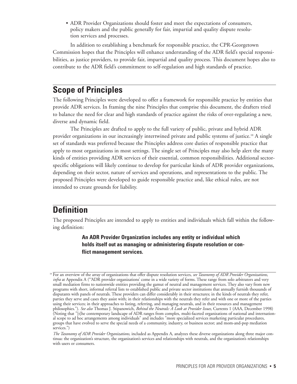• ADR Provider Organizations should foster and meet the expectations of consumers, policy makers and the public generally for fair, impartial and quality dispute resolution services and processes.

In addition to establishing a benchmark for responsible practice, the CPR-Georgetown Commission hopes that the Principles will enhance understanding of the ADR field's special responsibilities, as justice providers, to provide fair, impartial and quality process. This document hopes also to contribute to the ADR field's commitment to self-regulation and high standards of practice.

# **Scope of Principles**

The following Principles were developed to offer a framework for responsible practice by entities that provide ADR services. In framing the nine Principles that comprise this document, the drafters tried to balance the need for clear and high standards of practice against the risks of over-regulating a new, diverse and dynamic field.

The Principles are drafted to apply to the full variety of public, private and hybrid ADR provider organizations in our increasingly intertwined private and public systems of justice.<sup>10</sup> A single set of standards was preferred because the Principles address core duties of responsible practice that apply to most organizations in most settings. The single set of Principles may also help alert the many kinds of entities providing ADR services of their essential, common responsibilities. Additional sectorspecific obligations will likely continue to develop for particular kinds of ADR provider organizations, depending on their sector, nature of services and operations, and representations to the public. The proposed Principles were developed to guide responsible practice and, like ethical rules, are not intended to create grounds for liability.

# **Definition**

The proposed Principles are intended to apply to entities and individuals which fall within the following definition:

> **An ADR Provider Organization includes any entity or individual which holds itself out as managing or administering dispute resolution or conflict management services.**

<sup>&</sup>lt;sup>10</sup> For an overview of the array of organizations that offer dispute resolution services, *see Taxonomy of ADR Provider Organizations*, *infra* at Appendix A ("'ADR provider organizations' come in a wide variety of forms. These range from solo arbitrators and very small mediation firms to nationwide entities providing the gamut of neutral and management services. They also vary from new programs with short, informal referral lists to established public and private sector institutions that annually furnish thousands of disputants with panels of neutrals. These providers can differ considerably in their structures; in the kinds of neutrals they refer, parties they serve and cases they assist with; in their relationships with the neutrals they refer and with one or more of the parties using their services; in their approaches to listing, referring, and managing neutrals, and in their resources and management philosophies."). *See also* Thomas J. Stipanowich, *Behind the Neutrals: A Look at Provider Issues,* Currents 1 (AAA, December 1998) (Noting that "[t]he contemporary landscape of ADR ranges from complex, multi-faceted organizations of national and international scope to ad hoc arrangements among individuals" and includes "more specialized services marketing particular procedures, groups that have evolved to serve the special needs of a community, industry, or business sector; and mom-and-pop mediation services.")

*The Taxonomy of ADR Provider Organizations,* included as Appendix A, analyzes these diverse organizations along three major continua: the organization's structure, the organization's services and relationships with neutrals, and the organization's relationships with users or consumers.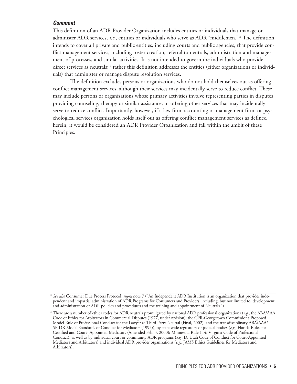#### *Comment*

This definition of an ADR Provider Organization includes entities or individuals that manage or administer ADR services, *i.e.,* entities or individuals who serve as ADR "middlemen."11 The definition intends to cover all private and public entities, including courts and public agencies, that provide conflict management services, including roster creation, referral to neutrals, administration and management of processes, and similar activities. It is not intended to govern the individuals who provide direct services as neutrals;<sup>12</sup> rather this definition addresses the entities (either organizations or individuals) that administer or manage dispute resolution services.

The definition excludes persons or organizations who do not hold themselves out as offering conflict management services, although their services may incidentally serve to reduce conflict. These may include persons or organizations whose primary activities involve representing parties in disputes, providing counseling, therapy or similar assistance, or offering other services that may incidentally serve to reduce conflict. Importantly, however, if a law firm, accounting or management firm, or psychological services organization holds itself out as offering conflict management services as defined herein, it would be considered an ADR Provider Organization and fall within the ambit of these Principles.

<sup>&</sup>lt;sup>11</sup> *See also* Consumer Due Process Protocol, *supra* note 7 ("An Independent ADR Institution is an organization that provides independent and impartial administration of ADR Programs for Consumers and Providers, including, but not limited to, development and administration of ADR policies and procedures and the training and appointment of Neutrals.")

<sup>12</sup> There are a number of ethics codes for ADR neutrals promulgated by national ADR professional organizations (*e.g.,* the ABA/AAA Code of Ethics for Arbitrators in Commercial Disputes (1977, under revision); the CPR-Georgetown Commission's Proposed Model Rule of Professional Conduct for the Lawyer as Third Party Neutral (Final, 2002); and the transdisciplinary ABA/AAA/ SPIDR Model Standards of Conduct for Mediators (1995)), by state-wide regulatory or judicial bodies (*e.g.,* Florida Rules for Certified and Court- Appointed Mediators (Amended Feb. 3, 2000); Minnesota Rule 114; Virginia Code of Professional Conduct), as well as by individual court or community ADR programs (*e.g.,* D. Utah Code of Conduct for Court-Appointed Mediators and Arbitrators) and individual ADR provider organizations (*e.g.,* JAMS Ethics Guidelines for Mediators and Arbitrators).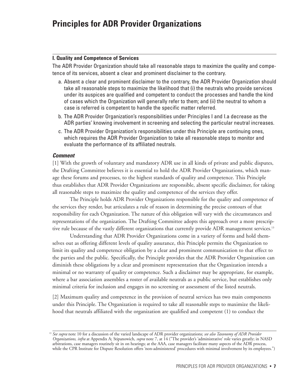# **Principles for ADR Provider Organizations**

#### **I. Quality and Competence of Services**

The ADR Provider Organization should take all reasonable steps to maximize the quality and competence of its services, absent a clear and prominent disclaimer to the contrary.

- a. Absent a clear and prominent disclaimer to the contrary, the ADR Provider Organization should take all reasonable steps to maximize the likelihood that (i) the neutrals who provide services under its auspices are qualified and competent to conduct the processes and handle the kind of cases which the Organization will generally refer to them; and (ii) the neutral to whom a case is referred is competent to handle the specific matter referred.
- b. The ADR Provider Organization's responsibilities under Principles I and I.a decrease as the ADR parties' knowing involvement in screening and selecting the particular neutral increases.
- c. The ADR Provider Organization's responsibilities under this Principle are continuing ones, which requires the ADR Provider Organization to take all reasonable steps to monitor and evaluate the performance of its affiliated neutrals.

#### *Comment*

[1] With the growth of voluntary and mandatory ADR use in all kinds of private and public disputes, the Drafting Committee believes it is essential to hold the ADR Provider Organizations, which manage these forums and processes, to the highest standards of quality and competence. This Principle thus establishes that ADR Provider Organizations are responsible, absent specific disclaimer, for taking all reasonable steps to maximize the quality and competence of the services they offer.

The Principle holds ADR Provider Organizations responsible for the quality and competence of the services they render, but articulates a rule of reason in determining the precise contours of that responsibility for each Organization. The nature of this obligation will vary with the circumstances and representations of the organization. The Drafting Committee adopts this approach over a more prescriptive rule because of the vastly different organizations that currently provide ADR management services.<sup>13</sup>

Understanding that ADR Provider Organizations come in a variety of forms and hold themselves out as offering different levels of quality assurance, this Principle permits the Organization to limit its quality and competence obligation by a clear and prominent communication to that effect to the parties and the public. Specifically, the Principle provides that the ADR Provider Organization can diminish these obligations by a clear and prominent representation that the Organization intends a minimal or no warranty of quality or competence. Such a disclaimer may be appropriate, for example, where a bar association assembles a roster of available neutrals as a public service, but establishes only minimal criteria for inclusion and engages in no screening or assessment of the listed neutrals.

[2] Maximum quality and competence in the provision of neutral services has two main components under this Principle. The Organization is required to take all reasonable steps to maximize the likelihood that neutrals affiliated with the organization are qualified and competent (1) to conduct the

<sup>&</sup>lt;sup>13</sup> *See supra* note 10 for a discussion of the varied landscape of ADR provider organizations; see also Taxonomy of ADR Provider *Organizations, infra* at Appendix A; Stipanowich, *supra* note 7, at 14 ("The provider's 'administrative' role varies greatly; in NASD arbitrations, case managers routinely sit in on hearings; at the AAA, case managers facilitate many aspects of the ADR process, while the CPR Institute for Dispute Resolution offers 'non-administered' procedures with minimal involvement by its employees.")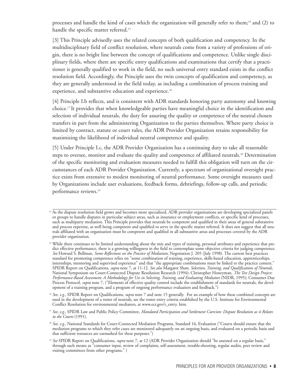processes and handle the kind of cases which the organization will generally refer to them;<sup>14</sup> and (2) to handle the specific matter referred.<sup>15</sup>

[3] This Principle advisedly uses the related concepts of both qualification and competency. In the multidisciplinary field of conflict resolution, where neutrals come from a variety of professions of origin, there is no bright line between the concept of qualifications and competence. Unlike single disciplinary fields, where there are specific entry qualifications and examinations that certify that a practitioner is generally qualified to work in the field, no such universal entry standard exists in the conflict resolution field. Accordingly, the Principle uses the twin concepts of qualification and competency, as they are generally understood in the field today, as including a combination of process training and experience, and substantive education and experience.<sup>16</sup>

[4] Principle I.b reflects, and is consistent with ADR standards honoring party autonomy and knowing choice.17 It provides that when knowledgeable parties have meaningful choice in the identification and selection of individual neutrals, the duty for assuring the quality or competence of the neutral chosen transfers in part from the administering Organization to the parties themselves. Where party choice is limited by contract, statute or court rules, the ADR Provider Organization retains responsibility for maximizing the likelihood of individual neutral competence and quality.

[5] Under Principle I.c, the ADR Provider Organization has a continuing duty to take all reasonable steps to oversee, monitor and evaluate the quality and competence of affiliated neutrals.<sup>18</sup> Determination of the specific monitoring and evaluation measures needed to fulfill this obligation will turn on the circumstances of each ADR Provider Organization. Currently, a spectrum of organizational oversight practice exists from extensive to modest monitoring of neutral performance. Some oversight measures used by Organizations include user evaluations, feedback forms, debriefings, follow-up calls, and periodic performance reviews.<sup>19</sup>

<sup>&</sup>lt;sup>14</sup> As the dispute resolution field grows and becomes more specialized, ADR provider organizations are developing specialized panels or groups to handle disputes in particular subject areas, such as insurance or employment conflicts, or specific kind of processes, such as multiparty mediation. This Principle provides that neutrals be competent and qualified in their areas of general substantive and process expertise, as well being competent and qualified to serve in the specific matter referred. It does not suggest that all neutrals affiliated with an organization must be competent and qualified in all substantive areas and processes covered by the ADR provider organization.

<sup>&</sup>lt;sup>15</sup> While there continues to be limited understanding about the mix and types of training, personal attributes and experience that predict effective performance, there is a growing willingness in the field to contemplate some objective criteria for judging competence. *See* Howard S. Bellman, *Some Reflections on the Practice of Mediation,* Negotiation J. 205 (July 1998). The current best practices standard for promoting competence relies on "some combination of training, experience, skills-based education, apprenticeships, internships, mentoring and supervised experience" and that "the appropriate combinations must be linked to the practice context." SPIDR Report on Qualifications, *supra* note 7, at 11-12. *See also* Margaret Shaw, *Selection, Training, and Qualifications of Neutrals,* National Symposium on Court-Connected Dispute Resolution Research (1994); Christopher Honeyman, *The Test Design Project: Performance-Based Assessment: A Methodology for Use in Selecting, Training, and Evaluating Mediators* (NIDR, 1995); Consumer Due Process Protocol, *supra* note 7, ("Elements of effective quality control include the establishment of standards for neutrals, the development of a training program, and a program of ongoing performance evaluation and feedback.")

<sup>16</sup> *See, e.g.,* SPIDR Report on Qualifications, *supra* note 7 and note 15 generally. For an example of how these combined concepts are used in the development of a roster of neutrals, see the roster entry criteria established by the U.S. Institute for Environmental Conflict Resolution for environmental mediators, at www.ecr.gov/r\_entry. htm.

<sup>17</sup> *See, e.g.,* SPIDR Law and Public Policy Committee, *Mandated Participation and Settlement Coercion: Dispute Resolution as it Relates to the Courts* (1991).

<sup>18</sup> *See, e.g.,* National Standards for Court-Connected Mediation Programs, Standard 16, Evaluation ("Courts should ensure that the mediation programs to which they refer cases are monitored adequately on an ongoing basis, and evaluated on a periodic basis and that sufficient resources are earmarked for these purposes.")

<sup>19</sup> *See* SPIDR Report on Qualifications, *supra* note 7, at 12 (ADR Provider Organization should "be assessed on a regular basis," through such means as "consumer input, review of complaints, self-assessment, trouble-shooting, regular audits, peer review and visiting committees from other programs." )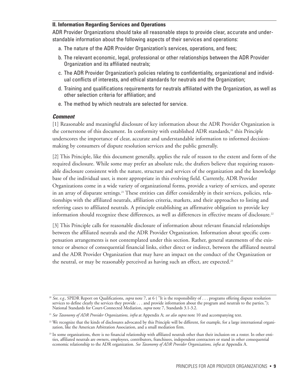#### **II. Information Regarding Services and Operations**

ADR Provider Organizations should take all reasonable steps to provide clear, accurate and understandable information about the following aspects of their services and operations:

- a. The nature of the ADR Provider Organization's services, operations, and fees;
- b. The relevant economic, legal, professional or other relationships between the ADR Provider Organization and its affiliated neutrals;
- c. The ADR Provider Organization's policies relating to confidentiality, organizational and individual conflicts of interests, and ethical standards for neutrals and the Organization;
- d. Training and qualifications requirements for neutrals affiliated with the Organization, as well as other selection criteria for affiliation; and
- e. The method by which neutrals are selected for service.

#### *Comment*

[1] Reasonable and meaningful disclosure of key information about the ADR Provider Organization is the cornerstone of this document. In conformity with established ADR standards,<sup>20</sup> this Principle underscores the importance of clear, accurate and understandable information to informed decisionmaking by consumers of dispute resolution services and the public generally.

[2] This Principle, like this document generally, applies the rule of reason to the extent and form of the required disclosure. While some may prefer an absolute rule, the drafters believe that requiring reasonable disclosure consistent with the nature, structure and services of the organization and the knowledge base of the individual user, is more appropriate in this evolving field. Currently, ADR Provider Organizations come in a wide variety of organizational forms, provide a variety of services, and operate in an array of disparate settings.21 These entities can differ considerably in their services, policies, relationships with the affiliated neutrals, affiliation criteria, markets, and their approaches to listing and referring cases to affiliated neutrals. A principle establishing an affirmative obligation to provide key information should recognize these differences, as well as differences in effective means of disclosure.<sup>22</sup>

[3] This Principle calls for reasonable disclosure of information about relevant financial relationships between the affiliated neutrals and the ADR Provider Organization. Information about specific compensation arrangements is not contemplated under this section. Rather, general statements of the existence or absence of consequential financial links, either direct or indirect, between the affiliated neutral and the ADR Provider Organization that may have an impact on the conduct of the Organization or the neutral, or may be reasonably perceived as having such an effect, are expected.<sup>23</sup>

<sup>20</sup> *See, e.g.,* SPIDR Report on Qualifications, *supra* note 7, at 6 ( "It is the responsibility of . . . programs offering dispute resolution services to define clearly the services they provide . . . and provide information about the program and neutrals to the parties."); National Standards for Court-Connected Mediation, *supra* note 7, Standards 3.1-3.2.

<sup>21</sup> *See Taxonomy of ADR Provider Organizations, infra* at Appendix A; *see also supra* note 10 and accompanying text.

<sup>&</sup>lt;sup>22</sup> We recognize that the kinds of disclosures advocated by this Principle will be different, for example, for a large international organization, like the American Arbitration Association, and a small mediation firm.

<sup>&</sup>lt;sup>23</sup> In some organizations, there is no financial relationship with affiliated neutrals other than their inclusion on a roster. In other entities, affiliated neutrals are owners, employees, contributors, franchisees, independent contractors or stand in other consequential economic relationship to the ADR organization. *See Taxonomy of ADR Provider Organizations, infra* at Appendix A.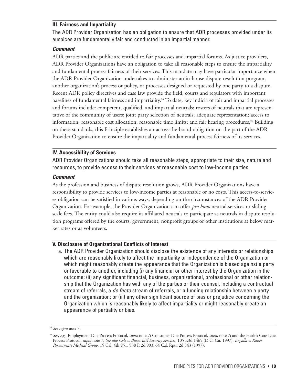#### **III. Fairness and Impartiality**

The ADR Provider Organization has an obligation to ensure that ADR processes provided under its auspices are fundamentally fair and conducted in an impartial manner.

#### *Comment*

ADR parties and the public are entitled to fair processes and impartial forums. As justice providers, ADR Provider Organizations have an obligation to take all reasonable steps to ensure the impartiality and fundamental process fairness of their services. This mandate may have particular importance when the ADR Provider Organization undertakes to administer an in-house dispute resolution program, another organization's process or policy, or processes designed or requested by one party to a dispute. Recent ADR policy directives and case law provide the field, courts and regulators with important baselines of fundamental fairness and impartiality.<sup>24</sup> To date, key indicia of fair and impartial processes and forums include: competent, qualified, and impartial neutrals; rosters of neutrals that are representative of the community of users; joint party selection of neutrals; adequate representation; access to information; reasonable cost allocation; reasonable time limits; and fair hearing procedures.<sup>25</sup> Building on these standards, this Principle establishes an across-the-board obligation on the part of the ADR Provider Organization to ensure the impartiality and fundamental process fairness of its services.

#### **IV. Accessibility of Services**

ADR Provider Organizations should take all reasonable steps, appropriate to their size, nature and resources, to provide access to their services at reasonable cost to low-income parties.

#### *Comment*

As the profession and business of dispute resolution grows, ADR Provider Organizations have a responsibility to provide services to low-income parties at reasonable or no costs. This access-to-services obligation can be satisfied in various ways, depending on the circumstances of the ADR Provider Organization. For example, the Provider Organization can offer *pro bono* neutral services or sliding scale fees. The entity could also require its affiliated neutrals to participate as neutrals in dispute resolution programs offered by the courts, government, nonprofit groups or other institutions at below market rates or as volunteers.

#### **V. Disclosure of Organizational Conflicts of Interest**

a. The ADR Provider Organization should disclose the existence of any interests or relationships which are reasonably likely to affect the impartiality or independence of the Organization or which might reasonably create the appearance that the Organization is biased against a party or favorable to another, including (i) any financial or other interest by the Organization in the outcome; (ii) any significant financial, business, organizational, professional or other relationship that the Organization has with any of the parties or their counsel, including a contractual stream of referrals, a *de facto* stream of referrals, or a funding relationship between a party and the organization; or (iii) any other significant source of bias or prejudice concerning the Organization which is reasonably likely to affect impartiality or might reasonably create an appearance of partiality or bias.

<sup>24</sup> *See supra* note 7.

<sup>25</sup> *See, e.g.,* Employment Due Process Protocol, *supra* note 7; Consumer Due Process Protocol, *supra* note 7; and the Health Care Due Process Protocol, *supra* note 7. *See also Cole v. Burns Int'l Security Services,* 105 F.3d 1465 (D.C. Cir. 1997); *Engalla v. Kaiser Permanente Medical Group,* 15 Cal. 4th 951, 938 P. 2d 903, 64 Cal. Rptr. 2d 843 (1997).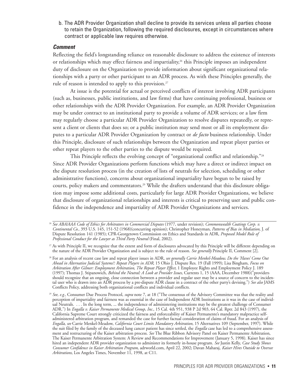b. The ADR Provider Organization shall decline to provide its services unless all parties choose to retain the Organization, following the required disclosures, except in circumstances where contract or applicable law requires otherwise.

#### *Comment*

Reflecting the field's longstanding reliance on reasonable disclosure to address the existence of interests or relationships which may effect fairness and impartiality,<sup>26</sup> this Principle imposes an independent duty of disclosure on the Organization to provide information about significant organizational relationships with a party or other participant to an ADR process. As with these Principles generally, the rule of reason is intended to apply to this provision.<sup>27</sup>

At issue is the potential for actual or perceived conflicts of interest involving ADR participants (such as, businesses, public institutions, and law firms) that have continuing professional, business or other relationships with the ADR Provider Organization. For example, an ADR Provider Organization may be under contract to an institutional party to provide a volume of ADR services; or a law firm may regularly choose a particular ADR Provider Organization to resolve disputes repeatedly, or represent a client or clients that does so; or a public institution may send most or all its employment disputes to a particular ADR Provider Organization by contract or *de facto* business relationship. Under this Principle, disclosure of such relationships between the Organization and repeat player parties or other repeat players to the other parties to the dispute would be required.

This Principle reflects the evolving concept of "organizational conflict and relationship."<sup>28</sup> Since ADR Provider Organizations perform functions which may have a direct or indirect impact on the dispute resolution process (in the creation of lists of neutrals for selection, scheduling or other administrative functions), concerns about organizational impartiality have begun to be raised by courts, policy makers and commentators.<sup>29</sup> While the drafters understand that this disclosure obligation may impose some additional costs, particularly for large ADR Provider Organizations, we believe that disclosure of organizational relationships and interests is critical to preserving user and public confidence in the independence and impartiality of ADR Provider Organizations and services.

<sup>26</sup> *See ABA/AAA Code of Ethics for Arbitrators in Commercial Disputes* (1977, under revision); *Commonwealth Coatings Corp. v. Continental Co.,* 393 U.S. 145, 151-52 (1968)(concurring opinion); Christopher Honeyman, *Patterns of Bias in Mediation,* J. of Dispute Resolution 141 (1985); CPR-Georgetown Commission on Ethics and Standards in ADR, *Proposed Model Rule of Professional Conduct for the Lawyer as Third Party Neutral* (Final, 2002).

<sup>&</sup>lt;sup>27</sup> As with Principle II, we recognize that the extent and form of disclosures advocated by this Principle will be different depending on the nature of the ADR Provider Organization and is subject to the rule of reason. *See generally* Principle II, Comment [2].

<sup>&</sup>lt;sup>28</sup> For an analysis of recent case law and repeat player issues in ADR, *see generally Carrie Menkel-Meadow, Do the 'Haves' Come Out Ahead in Alternative Judicial Systems?: Repeat Players in ADR,* 15 Ohio J. Dispute Res. 19 (Fall 1999); Lisa Bingham, *Focus on Arbitration After Gilmer: Employment Arbitration, The Repeat Player Effect,* 1 Employee Rights and Employment Policy J. 189 (1997); Thomas J. Stipanowich, *Behind the Neutral: A Look at Provider Issues,* Currents 1, 15 (AAA, December 1988)("providers should recognize that an ongoing, close connection between a provider and regular user may be a source of concern to the incidental user who is drawn into an ADR process by a pre-dispute ADR clause in a contract of the other party's devising.") *See also* JAMS Conflicts Policy, addressing both organizational conflicts and individual conflicts.

<sup>29</sup> *See, e.g.,* Consumer Due Process Protocol, *supra* note 7, at 18 ("The consensus of the Advisory Committee was that the reality and perception of impartiality and fairness was as essential in the case of Independent ADR Institutions as it was in the case of individual Neutrals. . . . In the long term, ... the independence of administering institutions may be the greatest challenge of Consumer ADR.") In *Engalla v. Kaiser Permanente Medical Group, Inc.,* 15 Cal. 4th 951, 938 P 2d 903, 64 Cal. Rptr. 2d 843 (1997), the California Supreme Court strongly criticized the fairness and enforceability of Kaiser Permanente's mandatory malpractice selfadministered arbitration program, and remanded the case for further factual consideration of claims of fraud. For an analysis of *Engalla*, *see* Carrie Menkel-Meadow, *California Court Limits Mandatory Arbitration,* 15 Alternatives 109 (September, 1997). While the suit filed by the family of the deceased lung cancer patient has since settled, the *Engalla* case has led to a comprehensive assessment and restructuring of the Kaiser arbitration process. *See* The Blue Ribbon Advisory Panel on Kaiser Permanente Arbitration, The Kaiser Permanente Arbitration System: A Review and Recommendations for Improvement (January 5, 1998). Kaiser has since hired an independent ADR provider organization to administer its formerly in-house program. *See* Justin Kelly, *Case Study Shows Consumer Confidence in Kaiser Arbitration Program,* adrworld.com, April 22, 2002; Davan Maharaj, *Kaiser Hires Outside to Oversee Arbitrations,* Los Angeles Times, November 11, 1998, at C11.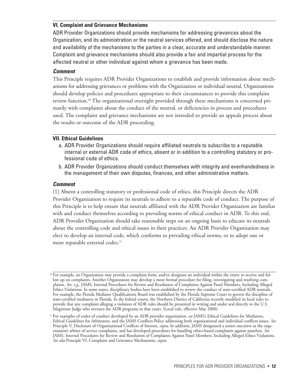#### **VI. Complaint and Grievance Mechanisms**

ADR Provider Organizations should provide mechanisms for addressing grievances about the Organization, and its administration or the neutral services offered, and should disclose the nature and availability of the mechanisms to the parties in a clear, accurate and understandable manner. Complaint and grievance mechanisms should also provide a fair and impartial process for the affected neutral or other individual against whom a grievance has been made.

## *Comment*

This Principle requires ADR Provider Organizations to establish and provide information about mechanisms for addressing grievances or problems with the Organization or individual neutral. Organizations should develop policies and procedures appropriate to their circumstances to provide this complaint review function.30 The organizational oversight provided through these mechanisms is concerned primarily with complaints about the conduct of the neutral, or deficiencies in process and procedures used. The complaint and grievance mechanisms are not intended to provide an appeals process about the results or outcome of the ADR proceeding.

#### **VII. Ethical Guidelines**

- a. ADR Provider Organizations should require affiliated neutrals to subscribe to a reputable internal or external ADR code of ethics, absent or in addition to a controlling statutory or professional code of ethics.
- b. ADR Provider Organizations should conduct themselves with integrity and evenhandedness in the management of their own disputes, finances, and other administrative matters.

#### *Comment*

[1] Absent a controlling statutory or professional code of ethics, this Principle directs the ADR Provider Organization to require its neutrals to adhere to a reputable code of conduct. The purpose of this Principle is to help ensure that neutrals affiliated with the ADR Provider Organization are familiar with and conduct themselves according to prevailing norms of ethical conduct in ADR. To this end, ADR Provider Organization should take reasonable steps on an ongoing basis to educate its neutrals about the controlling code and ethical issues in their practices. An ADR Provider Organization may elect to develop an internal code, which conforms to prevailing ethical norms, or to adopt one or more reputable external codes.<sup>31</sup>

<sup>30</sup> For example, an Organization may provide a complaint form, and/or designate an individual within the entity to receive and follow up on complaints. Another Organization may develop a more formal procedure for filing, investigating and resolving complaints. *See, e.g.,* JAMS, Internal Procedures for Review and Resolution of Complaints Against Panel Members, Including Alleged Ethics Violations. In some states, disciplinary bodies have been established to review the conduct of state-certified ADR neutrals. For example, the Florida Mediator Qualifications Board was established by the Florida Supreme Court to govern the discipline of state-certified mediators in Florida. In the federal courts, the Northern District of California recently modified its local rules to provide that any complaint alleging a violation of ADR rules should be presented in writing and under seal directly to the U.S. Magistrate Judge who oversees the ADR programs in that court. (Local rule, effective May 2000).

<sup>&</sup>lt;sup>31</sup> For examples of codes of conduct developed by an ADR provider organization, *see* JAMS's Ethical Guidelines for Mediators, Ethical Guidelines for Arbitrators, and the JAMS Conflicts Policy addressing both organizational and individual conflicts issues. *See* Principle V, Disclosure of Organizational Conflicts of Interest, *supra*. In addition, JAMS designated a senior executive as the organization's arbiter of service complaints, and has developed procedures for handling ethics-based complaints against panelists. *See* JAMS, Internal Procedures for Review and Resolution of Complaints Against Panel Members, Including Alleged Ethics Violations. *See also* Principle VI, Complaint and Grievance Mechanisms, *supra*.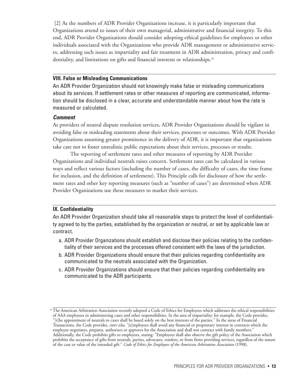[2] As the numbers of ADR Provider Organizations increase, it is particularly important that Organizations attend to issues of their own managerial, administrative and financial integrity. To this end, ADR Provider Organizations should consider adopting ethical guidelines for employees or other individuals associated with the Organizations who provide ADR management or administrative services, addressing such issues as impartiality and fair treatment in ADR administration, privacy and confidentiality, and limitations on gifts and financial interests or relationships.<sup>32</sup>

#### **VIII. False or Misleading Communications**

An ADR Provider Organization should not knowingly make false or misleading communications about its services. If settlement rates or other measures of reporting are communicated, information should be disclosed in a clear, accurate and understandable manner about how the rate is measured or calculated.

#### *Comment*

As providers of neutral dispute resolution services, ADR Provider Organizations should be vigilant in avoiding false or misleading statements about their services, processes or outcomes. With ADR Provider Organizations assuming greater prominence in the delivery of ADR, it is important that organizations take care not to foster unrealistic public expectations about their services, processes or results.

The reporting of settlement rates and other measures of reporting by ADR Provider Organizations and individual neutrals raises concern. Settlement rates can be calculated in various ways and reflect various factors (including the number of cases, the difficulty of cases, the time frame for inclusion, and the definition of settlement). This Principle calls for disclosure of how the settlement rates and other key reporting measures (such as "number of cases") are determined when ADR Provider Organizations use these measures to market their services.

#### **IX. Confidentiality**

An ADR Provider Organization should take all reasonable steps to protect the level of confidentiality agreed to by the parties, established by the organization or neutral, or set by applicable law or contract.

- a. ADR Provider Organizations should establish and disclose their policies relating to the confidentiality of their services and the processes offered consistent with the laws of the jurisdiction.
- b. ADR Provider Organizations should ensure that their policies regarding confidentiality are communicated to the neutrals associated with the Organization.
- c. ADR Provider Organizations should ensure that their policies regarding confidentiality are communicated to the ADR participants.

<sup>&</sup>lt;sup>32</sup> The American Arbitration Association recently adopted a Code of Ethics for Employees which addresses the ethical responsibilities of AAA employees in administering cases and other responsibilities. In the area of impartiality, for example, the Code provides, "[t]he appointment of neutrals to cases shall be based solely on the best interests of the parties." In the areas of Financial

Transactions, the Code provides, *inter alia,* "[e]mployees shall avoid any financial or proprietary interest in contracts which the employee negotiates, prepares, authorizes or approves for the Association and shall not contract with family members." Additionally, the Code prohibits gifts to employees, stating: "Employees shall also observe the gift policy of the Association which prohibits the acceptance of gifts from neutrals, parties, advocates, vendors, or from firms providing services, regardless of the nature of the case or value of the intended gift." *Code of Ethics for Employees of the American Arbitration Association* (1998).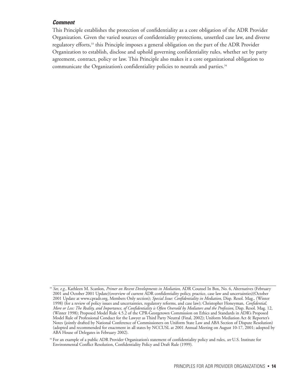#### *Comment*

This Principle establishes the protection of confidentiality as a core obligation of the ADR Provider Organization. Given the varied sources of confidentiality protections, unsettled case law, and diverse regulatory efforts,<sup>33</sup> this Principle imposes a general obligation on the part of the ADR Provider Organization to establish, disclose and uphold governing confidentiality rules, whether set by party agreement, contract, policy or law. This Principle also makes it a core organizational obligation to communicate the Organization's confidentiality policies to neutrals and parties.<sup>34</sup>

<sup>33</sup> *See, e.g.,* Kathleen M. Scanlon, *Primer on Recent Developments in Mediation,* ADR Counsel In Box, No. 6, Alternatives (February 2001 and October 2001 Update)(overview of current ADR confidentiality policy, practice, case law and uncertainties)(October 2001 Update at www.cpradr.org, Members Only section); *Special Issue: Confidentiality in Mediation,* Disp. Resol. Mag., (Winter 1998) (for a review of policy issues and uncertainties, regulatory reforms, and case law); Christopher Honeyman, *Confidential, More or Less: The Reality, and Importance, of Confidentiality is Often Oversold by Mediators and the Profession,* Disp. Resol. Mag. 12, (Winter 1998); Proposed Model Rule 4.5.2 of the CPR-Georgetown Commission on Ethics and Standards in ADR's Proposed Model Rule of Professional Conduct for the Lawyer as Third Party Neutral (Final, 2002); Uniform Mediation Act & Reporter's Notes (jointly drafted by National Conference of Commissioners on Uniform State Law and ABA Section of Dispute Resolution) (adopted and recommended for enactment in all states by NCCUSL at 2001 Annual Meeting on August 10-17, 2001; adopted by ABA House of Delegates in February 2002).

<sup>34</sup> For an example of a public ADR Provider Organization's statement of confidentiality policy and rules, *see* U.S. Institute for Environmental Conflict Resolution, Confidentiality Policy and Draft Rule (1999).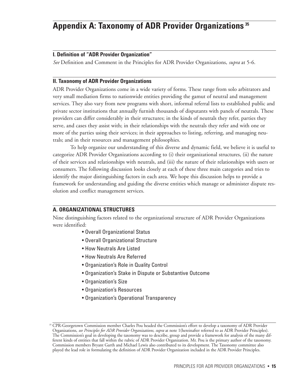# **Appendix A: Taxonomy of ADR Provider Organizations <sup>35</sup>**

#### **I. Definition of "ADR Provider Organization"**

*See* Definition and Comment in the Principles for ADR Provider Organizations, *supra* at 5-6.

#### **II. Taxonomy of ADR Provider Organizations**

ADR Provider Organizations come in a wide variety of forms. These range from solo arbitrators and very small mediation firms to nationwide entities providing the gamut of neutral and management services. They also vary from new programs with short, informal referral lists to established public and private sector institutions that annually furnish thousands of disputants with panels of neutrals. These providers can differ considerably in their structures; in the kinds of neutrals they refer, parties they serve, and cases they assist with; in their relationships with the neutrals they refer and with one or more of the parties using their services; in their approaches to listing, referring, and managing neutrals; and in their resources and management philosophies.

To help organize our understanding of this diverse and dynamic field, we believe it is useful to categorize ADR Provider Organizations according to (i) their organizational structures, (ii) the nature of their services and relationships with neutrals, and (iii) the nature of their relationships with users or consumers. The following discussion looks closely at each of these three main categories and tries to identify the major distinguishing factors in each area. We hope this discussion helps to provide a framework for understanding and guiding the diverse entities which manage or administer dispute resolution and conflict management services.

#### **A. ORGANIZATIONAL STRUCTURES**

Nine distinguishing factors related to the organizational structure of ADR Provider Organizations were identified:

- Overall Organizational Status
- Overall Organizational Structure
- How Neutrals Are Listed
- How Neutrals Are Referred
- Organization's Role in Quality Control
- Organization's Stake in Dispute or Substantive Outcome
- Organization's Size
- Organization's Resources
- Organization's Operational Transparency

<sup>&</sup>lt;sup>35</sup> CPR-Georgetown Commission member Charles Pou headed the Commission's effort to develop a taxonomy of ADR Provider Organizations, *see Principles for ADR Provider Organizations, supra* at note 1(hereinafter referred to as ADR Provider Principles). The Commission's goal in developing the taxonomy was to describe, group and provide a framework for analysis of the many different kinds of entities that fall within the rubric of ADR Provider Organization. Mr. Pou is the primary author of the taxonomy. Commission members Bryant Garth and Michael Lewis also contributed to its development. The Taxonomy committee also played the lead role in formulating the definition of ADR Provider Organization included in the ADR Provider Principles.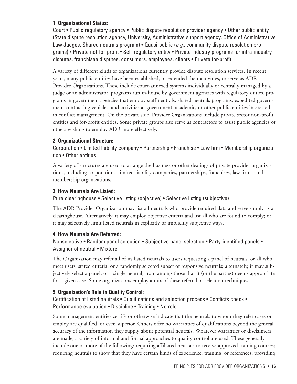## **1. Organizational Status:**

Court • Public regulatory agency • Public dispute resolution provider agency • Other public entity (State dispute resolution agency, University, Administrative support agency, Office of Administrative Law Judges, Shared neutrals program) • Quasi-public (*e.g.,* community dispute resolution programs) • Private not-for-profit • Self-regulatory entity • Private industry programs for intra-industry disputes, franchisee disputes, consumers, employees, clients • Private for-profit

A variety of different kinds of organizations currently provide dispute resolution services. In recent years, many public entities have been established, or extended their activities, to serve as ADR Provider Organizations. These include court-annexed systems individually or centrally managed by a judge or an administrator, programs run in-house by government agencies with regulatory duties, programs in government agencies that employ staff neutrals, shared neutrals programs, expedited government contracting vehicles, and activities at government, academic, or other public entities interested in conflict management. On the private side, Provider Organizations include private sector non-profit entities and for-profit entities. Some private groups also serve as contractors to assist public agencies or others wishing to employ ADR more effectively.

#### **2. Organizational Structure:**

Corporation • Limited liability company • Partnership • Franchise • Law firm • Membership organization • Other entities

A variety of structures are used to arrange the business or other dealings of private provider organizations, including corporations, limited liability companies, partnerships, franchises, law firms, and membership organizations.

#### **3. How Neutrals Are Listed:**

Pure clearinghouse • Selective listing (objective) • Selective listing (subjective)

The ADR Provider Organization may list all neutrals who provide required data and serve simply as a clearinghouse. Alternatively, it may employ objective criteria and list all who are found to comply; or it may selectively limit listed neutrals in explicitly or implicitly subjective ways.

#### **4. How Neutrals Are Referred:**

Nonselective • Random panel selection • Subjective panel selection • Party-identified panels • Assignor of neutral • Mixture

The Organization may refer all of its listed neutrals to users requesting a panel of neutrals, or all who meet users' stated criteria, or a randomly selected subset of responsive neutrals; alternately, it may subjectively select a panel, or a single neutral, from among those that it (or the parties) deems appropriate for a given case. Some organizations employ a mix of these referral or selection techniques.

#### **5. Organization's Role in Quality Control:**

Certification of listed neutrals • Qualifications and selection process • Conflicts check • Performance evaluation • Discipline • Training • No role

Some management entities certify or otherwise indicate that the neutrals to whom they refer cases or employ are qualified, or even superior. Others offer no warranties of qualifications beyond the general accuracy of the information they supply about potential neutrals. Whatever warranties or disclaimers are made, a variety of informal and formal approaches to quality control are used. These generally include one or more of the following: requiring affiliated neutrals to receive approved training courses; requiring neutrals to show that they have certain kinds of experience, training, or references; providing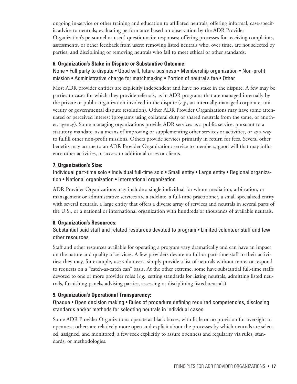ongoing in-service or other training and education to affiliated neutrals; offering informal, case-specific advice to neutrals; evaluating performance based on observation by the ADR Provider Organization's personnel or users' questionnaire responses; offering processes for receiving complaints, assessments, or other feedback from users; removing listed neutrals who, over time, are not selected by parties; and disciplining or removing neutrals who fail to meet ethical or other standards.

#### **6. Organization's Stake in Dispute or Substantive Outcome:**

None • Full party to dispute • Good will, future business • Membership organization • Non-profit mission • Administrative charge for matchmaking • Portion of neutral's fee • Other

Most ADR provider entities are explicitly independent and have no stake in the dispute. A few may be parties to cases for which they provide referrals, as in ADR programs that are managed internally by the private or public organization involved in the dispute (*e.g.,* an internally-managed corporate, university or governmental dispute resolution). Other ADR Provider Organizations may have some attenuated or perceived interest (programs using collateral duty or shared neutrals from the same, or another, agency). Some managing organizations provide ADR services as a public service, pursuant to a statutory mandate, as a means of improving or supplementing other services or activities, or as a way to fulfill other non-profit missions. Others provide services primarily in return for fees. Several other benefits may accrue to an ADR Provider Organization: service to members, good will that may influence other activities, or access to additional cases or clients.

#### **7. Organization's Size:**

Individual part-time solo • Individual full-time solo • Small entity • Large entity • Regional organization • National organization • International organization

ADR Provider Organizations may include a single individual for whom mediation, arbitration, or management or administrative services are a sideline, a full-time practitioner, a small specialized entity with several neutrals, a large entity that offers a diverse array of services and neutrals in several parts of the U.S., or a national or international organization with hundreds or thousands of available neutrals.

#### **8. Organization's Resources:**

Substantial paid staff and related resources devoted to program • Limited volunteer staff and few other resources

Staff and other resources available for operating a program vary dramatically and can have an impact on the nature and quality of services. A few providers devote no full-or part-time staff to their activities; they may, for example, use volunteers, simply provide a list of neutrals without more, or respond to requests on a "catch-as-catch can" basis. At the other extreme, some have substantial full-time staffs devoted to one or more provider roles (*e.g.,* setting standards for listing neutrals, admitting listed neutrals, furnishing panels, advising parties, assessing or disciplining listed neutrals).

#### **9. Organization's Operational Transparency:**

Opaque • Open decision making • Rules of procedure defining required competencies, disclosing standards and/or methods for selecting neutrals in individual cases

Some ADR Provider Organizations operate as black boxes, with little or no provision for oversight or openness; others are relatively more open and explicit about the processes by which neutrals are selected, assigned, and monitored; a few seek explicitly to assure openness and regularity via rules, standards, or methodologies.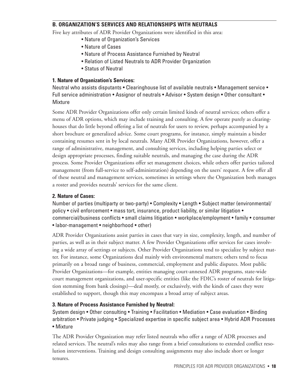## **B. ORGANIZATION'S SERVICES AND RELATIONSHIPS WITH NEUTRALS**

Five key attributes of ADR Provider Organizations were identified in this area:

- Nature of Organization's Services
- Nature of Cases
- Nature of Process Assistance Furnished by Neutral
- Relation of Listed Neutrals to ADR Provider Organization
- Status of Neutral

## **1. Nature of Organization's Services:**

Neutral who assists disputants • Clearinghouse list of available neutrals • Management service • Full service administration • Assignor of neutrals • Advisor • System design • Other consultant • Mixture

Some ADR Provider Organizations offer only certain limited kinds of neutral services; others offer a menu of ADR options, which may include training and consulting. A few operate purely as clearinghouses that do little beyond offering a list of neutrals for users to review, perhaps accompanied by a short brochure or generalized advice. Some court programs, for instance, simply maintain a binder containing resumes sent in by local neutrals. Many ADR Provider Organizations, however, offer a range of administrative, management, and consulting services, including helping parties select or design appropriate processes, finding suitable neutrals, and managing the case during the ADR process. Some Provider Organizations offer set management choices, while others offer parties tailored management (from full-service to self-administration) depending on the users' request. A few offer all of these neutral and management services, sometimes in settings where the Organization both manages a roster and provides neutrals' services for the same client.

# **2. Nature of Cases:**

Number of parties (multiparty or two-party) • Complexity • Length • Subject matter (environmental/ policy • civil enforcement • mass tort, insurance, product liability, or similar litigation • commercial/business conflicts • small claims litigation • workplace/employment • family • consumer • labor-management • neighborhood • other)

ADR Provider Organizations assist parties in cases that vary in size, complexity, length, and number of parties, as well as in their subject matter. A few Provider Organizations offer services for cases involving a wide array of settings or subjects. Other Provider Organizations tend to specialize by subject matter. For instance, some Organizations deal mainly with environmental matters; others tend to focus primarily on a broad range of business, commercial, employment and public disputes. Most public Provider Organizations—for example, entities managing court-annexed ADR programs, state-wide court management organizations, and user-specific entities (like the FDIC's roster of neutrals for litigation stemming from bank closings)—deal mostly, or exclusively, with the kinds of cases they were established to support, though this may encompass a broad array of subject areas.

## **3. Nature of Process Assistance Furnished by Neutral:**

System design • Other consulting • Training • Facilitation • Mediation • Case evaluation • Binding arbitration • Private judging • Specialized expertise in specific subject area • Hybrid ADR Processes • Mixture

The ADR Provider Organization may refer listed neutrals who offer a range of ADR processes and related services. The neutral's roles may also range from a brief consultations to extended conflict resolution interventions. Training and design consulting assignments may also include short or longer tenures.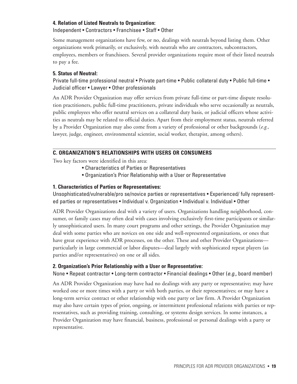#### **4. Relation of Listed Neutrals to Organization:**

Independent • Contractors • Franchisee • Staff • Other

Some management organizations have few, or no, dealings with neutrals beyond listing them. Other organizations work primarily, or exclusively, with neutrals who are contractors, subcontractors, employees, members or franchisees. Several provider organizations require most of their listed neutrals to pay a fee.

#### **5. Status of Neutral:**

Private full-time professional neutral • Private part-time • Public collateral duty • Public full-time • Judicial officer • Lawyer • Other professionals

An ADR Provider Organization may offer services from private full-time or part-time dispute resolution practitioners, public full-time practitioners, private individuals who serve occasionally as neutrals, public employees who offer neutral services on a collateral duty basis, or judicial officers whose activities as neutrals may be related to official duties. Apart from their employment status, neutrals referred by a Provider Organization may also come from a variety of professional or other backgrounds (*e.g.,* lawyer, judge, engineer, environmental scientist, social worker, therapist, among others).

## **C. ORGANIZATION'S RELATIONSHIPS WITH USERS OR CONSUMERS**

Two key factors were identified in this area:

- Characteristics of Parties or Representatives
- Organization's Prior Relationship with a User or Representative

### **1. Characteristics of Parties or Representatives:**

Unsophisticated/vulnerable/pro se/novice parties or representatives • Experienced/ fully represented parties or representatives • Individual v. Organization • Individual v. Individual • Other

ADR Provider Organizations deal with a variety of users. Organizations handling neighborhood, consumer, or family cases may often deal with cases involving exclusively first-time participants or similarly unsophisticated users. In many court programs and other settings, the Provider Organization may deal with some parties who are novices on one side and well-represented organizations, or ones that have great experience with ADR processes, on the other. These and other Provider Organizations particularly in large commercial or labor disputes—deal largely with sophisticated repeat players (as parties and/or representatives) on one or all sides.

#### **2. Organization's Prior Relationship with a User or Representative:**

None • Repeat contractor • Long-term contractor • Financial dealings • Other (*e.g.,* board member)

An ADR Provider Organization may have had no dealings with any party or representative; may have worked one or more times with a party or with both parties, or their representatives; or may have a long-term service contract or other relationship with one party or law firm. A Provider Organization may also have certain types of prior, ongoing, or intermittent professional relations with parties or representatives, such as providing training, consulting, or systems design services. In some instances, a Provider Organization may have financial, business, professional or personal dealings with a party or representative.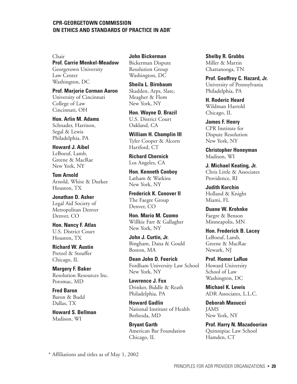## **CPR-GEORGETOWN COMMISSION ON ETHICS AND STANDARDS OF PRACTICE IN ADR\***

Chair **Prof. Carrie Menkel-Meadow** Georgetown University Law Center Washington, DC

**Prof. Marjorie Corman Aaron** University of Cincinnati College of Law Cincinnati, OH

**Hon. Arlin M. Adams** Schnader, Harrison, Segal & Lewis Philadelphia, PA

**Howard J. Aibel** LeBoeuf, Lamb, Greene & MacRae New York, NY

**Tom Arnold** Arnold, White & Durkee Houston, TX

**Jonathan D. Asher** Legal Aid Society of Metropolitan Denver Denver, CO

**Hon. Nancy F. Atlas** U.S. District Court Houston, TX

**Richard W. Austin** Pretzel & Stouffer Chicago, IL

**Margery F. Baker** Resolution Resources Inc. Potomac, MD

**Fred Baron** Baron & Budd Dallas, TX

**Howard S. Bellman** Madison, WI

**John Bickerman** Bickerman Dispute Resolution Group Washington, DC

**Sheila L. Birnbaum** Skadden, Arps, Slate, Meagher & Flom New York, NY

**Hon. Wayne D. Brazil** U.S. District Court Oakland, CA

**William H. Champlin III** Tyler Cooper & Alcorn Hartford, CT

**Richard Chernick** Los Angeles, CA

**Hon. Kenneth Conboy** Latham & Watkins New York, NY

**Frederick K. Conover II**  The Faegre Group Denver, CO

**Hon. Mario M. Cuomo** Willkie Farr & Gallagher New York, NY

**John J. Curtin, Jr.** Bingham, Dana & Gould Boston, MA

**Dean John D. Feerick** Fordham University Law School New York, NY

**Lawrence J. Fox** Drinker, Biddle & Reath Philadelphia, PA

**Howard Gadlin** National Institute of Health Bethesda, MD

**Bryant Garth** American Bar Foundation Chicago, IL

**Shelby R. Grubbs** Miller & Martin Chattanooga, TN

**Prof. Geoffrey C. Hazard, Jr.** University of Pennsylvania Philadelphia, PA

**H. Roderic Heard** Wildman Harrold Chicago, IL

**James F. Henry** CPR Institute for Dispute Resolution New York, NY

**Christopher Honeyman** Madison, WI

**J. Michael Keating, Jr.** Chris Little & Associates Providence, RI

**Judith Korchin** Holland & Knight Miami, FL

**Duane W. Krohnke** Faegre & Benson Minneapolis, MN

**Hon. Frederick B. Lacey** LeBoeuf, Lamb, Greene & MacRae Newark, NJ

**Prof. Homer LaRue** Howard University School of Law Washington, DC

**Michael K. Lewis** ADR Associates, L.L.C.

**Deborah Masucci** JAMS New York, NY

**Prof. Harry N. Mazadoorian** Quinnipiac Law School Hamden, CT

\* Affiliations and titles as of May 1, 2002